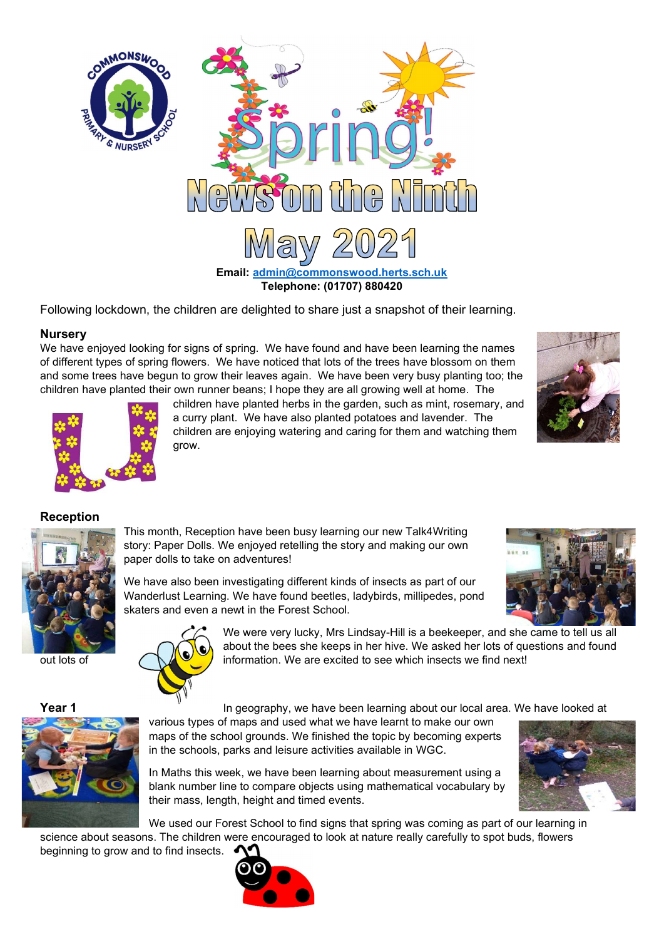

Following lockdown, the children are delighted to share just a snapshot of their learning.

# **Nurserv**

We have enjoyed looking for signs of spring. We have found and have been learning the names of different types of spring flowers. We have noticed that lots of the trees have blossom on them and some trees have begun to grow their leaves again. We have been very busy planting too; the children have planted their own runner beans; I hope they are all growing well at home. The





children have planted herbs in the garden, such as mint, rosemary, and a curry plant. We have also planted potatoes and lavender. The children are enjoying watering and caring for them and watching them grow.

# Reception



This month, Reception have been busy learning our new Talk4Writing story: Paper Dolls. We enjoyed retelling the story and making our own paper dolls to take on adventures!

We have also been investigating different kinds of insects as part of our Wanderlust Learning. We have found beetles, ladybirds, millipedes, pond skaters and even a newt in the Forest School.



We were very lucky, Mrs Lindsay-Hill is a beekeeper, and she came to tell us all about the bees she keeps in her hive. We asked her lots of questions and found out lots of **information.** We are excited to see which insects we find next!

**Year 1** The In geography, we have been learning about our local area. We have looked at

various types of maps and used what we have learnt to make our own maps of the school grounds. We finished the topic by becoming experts in the schools, parks and leisure activities available in WGC.

In Maths this week, we have been learning about measurement using a blank number line to compare objects using mathematical vocabulary by their mass, length, height and timed events.

We used our Forest School to find signs that spring was coming as part of our learning in

science about seasons. The children were encouraged to look at nature really carefully to spot buds, flowers beginning to grow and to find insects.



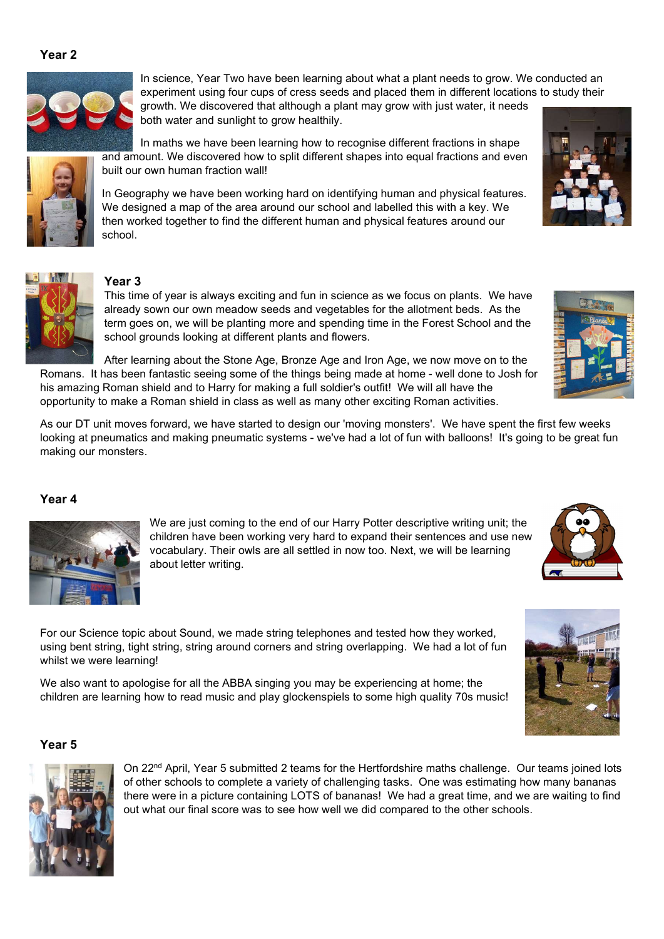### Year 2



In science, Year Two have been learning about what a plant needs to grow. We conducted an experiment using four cups of cress seeds and placed them in different locations to study their growth. We discovered that although a plant may grow with just water, it needs

both water and sunlight to grow healthily.

In maths we have been learning how to recognise different fractions in shape and amount. We discovered how to split different shapes into equal fractions and even built our own human fraction wall!

In Geography we have been working hard on identifying human and physical features. We designed a map of the area around our school and labelled this with a key. We then worked together to find the different human and physical features around our school.



# Year 3

This time of year is always exciting and fun in science as we focus on plants. We have already sown our own meadow seeds and vegetables for the allotment beds. As the term goes on, we will be planting more and spending time in the Forest School and the school grounds looking at different plants and flowers.

After learning about the Stone Age, Bronze Age and Iron Age, we now move on to the Romans. It has been fantastic seeing some of the things being made at home - well done to Josh for his amazing Roman shield and to Harry for making a full soldier's outfit! We will all have the opportunity to make a Roman shield in class as well as many other exciting Roman activities.

As our DT unit moves forward, we have started to design our 'moving monsters'. We have spent the first few weeks looking at pneumatics and making pneumatic systems - we've had a lot of fun with balloons! It's going to be great fun making our monsters.

#### Year 4



We are just coming to the end of our Harry Potter descriptive writing unit; the children have been working very hard to expand their sentences and use new vocabulary. Their owls are all settled in now too. Next, we will be learning about letter writing.



# whilst we were learning! We also want to apologise for all the ABBA singing you may be experiencing at home; the children are learning how to read music and play glockenspiels to some high quality 70s music!

For our Science topic about Sound, we made string telephones and tested how they worked, using bent string, tight string, string around corners and string overlapping. We had a lot of fun

#### Year 5



On 22<sup>nd</sup> April, Year 5 submitted 2 teams for the Hertfordshire maths challenge. Our teams joined lots of other schools to complete a variety of challenging tasks. One was estimating how many bananas there were in a picture containing LOTS of bananas! We had a great time, and we are waiting to find out what our final score was to see how well we did compared to the other schools.





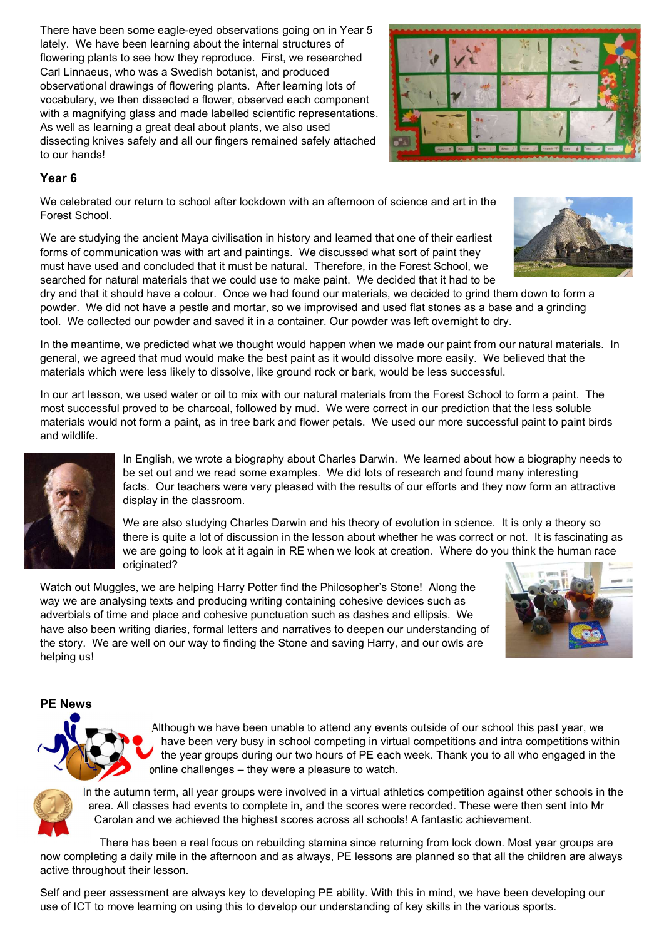There have been some eagle-eyed observations going on in Year 5 lately. We have been learning about the internal structures of flowering plants to see how they reproduce. First, we researched Carl Linnaeus, who was a Swedish botanist, and produced observational drawings of flowering plants. After learning lots of vocabulary, we then dissected a flower, observed each component with a magnifying glass and made labelled scientific representations. As well as learning a great deal about plants, we also used dissecting knives safely and all our fingers remained safely attached to our hands!



# Year 6

We celebrated our return to school after lockdown with an afternoon of science and art in the Forest School.

We are studying the ancient Maya civilisation in history and learned that one of their earliest forms of communication was with art and paintings. We discussed what sort of paint they must have used and concluded that it must be natural. Therefore, in the Forest School, we searched for natural materials that we could use to make paint. We decided that it had to be



dry and that it should have a colour. Once we had found our materials, we decided to grind them down to form a powder. We did not have a pestle and mortar, so we improvised and used flat stones as a base and a grinding tool. We collected our powder and saved it in a container. Our powder was left overnight to dry.

In the meantime, we predicted what we thought would happen when we made our paint from our natural materials. In general, we agreed that mud would make the best paint as it would dissolve more easily. We believed that the materials which were less likely to dissolve, like ground rock or bark, would be less successful.

In our art lesson, we used water or oil to mix with our natural materials from the Forest School to form a paint. The most successful proved to be charcoal, followed by mud. We were correct in our prediction that the less soluble materials would not form a paint, as in tree bark and flower petals. We used our more successful paint to paint birds and wildlife.



In English, we wrote a biography about Charles Darwin. We learned about how a biography needs to be set out and we read some examples. We did lots of research and found many interesting facts. Our teachers were very pleased with the results of our efforts and they now form an attractive display in the classroom.

We are also studying Charles Darwin and his theory of evolution in science. It is only a theory so there is quite a lot of discussion in the lesson about whether he was correct or not. It is fascinating as we are going to look at it again in RE when we look at creation. Where do you think the human race originated?

Watch out Muggles, we are helping Harry Potter find the Philosopher's Stone! Along the way we are analysing texts and producing writing containing cohesive devices such as adverbials of time and place and cohesive punctuation such as dashes and ellipsis. We have also been writing diaries, formal letters and narratives to deepen our understanding of the story. We are well on our way to finding the Stone and saving Harry, and our owls are helping us!



#### PE News



Although we have been unable to attend any events outside of our school this past year, we have been very busy in school competing in virtual competitions and intra competitions within the year groups during our two hours of PE each week. Thank you to all who engaged in the online challenges – they were a pleasure to watch.



In the autumn term, all year groups were involved in a virtual athletics competition against other schools in the area. All classes had events to complete in, and the scores were recorded. These were then sent into Mr Carolan and we achieved the highest scores across all schools! A fantastic achievement.

There has been a real focus on rebuilding stamina since returning from lock down. Most year groups are now completing a daily mile in the afternoon and as always, PE lessons are planned so that all the children are always active throughout their lesson.

Self and peer assessment are always key to developing PE ability. With this in mind, we have been developing our use of ICT to move learning on using this to develop our understanding of key skills in the various sports.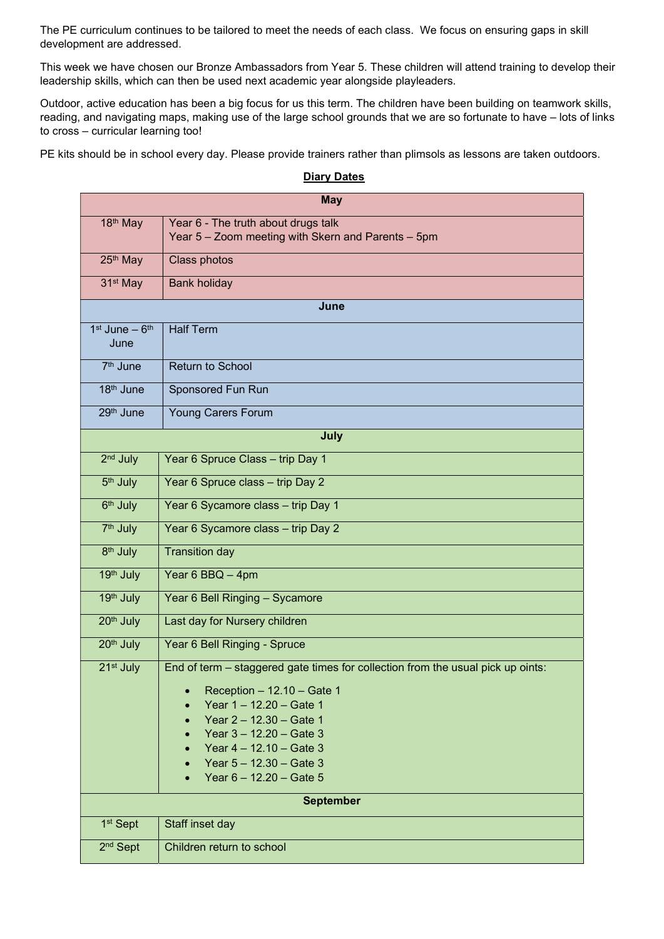The PE curriculum continues to be tailored to meet the needs of each class. We focus on ensuring gaps in skill development are addressed.

This week we have chosen our Bronze Ambassadors from Year 5. These children will attend training to develop their leadership skills, which can then be used next academic year alongside playleaders.

Outdoor, active education has been a big focus for us this term. The children have been building on teamwork skills, reading, and navigating maps, making use of the large school grounds that we are so fortunate to have – lots of links to cross – curricular learning too!

PE kits should be in school every day. Please provide trainers rather than plimsols as lessons are taken outdoors.

| <b>May</b>                |                                                                                                                                                                                                                                                                                            |
|---------------------------|--------------------------------------------------------------------------------------------------------------------------------------------------------------------------------------------------------------------------------------------------------------------------------------------|
| 18 <sup>th</sup> May      | Year 6 - The truth about drugs talk<br>Year 5 - Zoom meeting with Skern and Parents - 5pm                                                                                                                                                                                                  |
| 25th May                  | Class photos                                                                                                                                                                                                                                                                               |
| 31 <sup>st</sup> May      | <b>Bank holiday</b>                                                                                                                                                                                                                                                                        |
| June                      |                                                                                                                                                                                                                                                                                            |
| $1st$ June $-6th$<br>June | <b>Half Term</b>                                                                                                                                                                                                                                                                           |
| 7 <sup>th</sup> June      | <b>Return to School</b>                                                                                                                                                                                                                                                                    |
| 18 <sup>th</sup> June     | Sponsored Fun Run                                                                                                                                                                                                                                                                          |
| 29th June                 | <b>Young Carers Forum</b>                                                                                                                                                                                                                                                                  |
| July                      |                                                                                                                                                                                                                                                                                            |
| 2 <sup>nd</sup> July      | Year 6 Spruce Class - trip Day 1                                                                                                                                                                                                                                                           |
| 5 <sup>th</sup> July      | Year 6 Spruce class - trip Day 2                                                                                                                                                                                                                                                           |
| 6 <sup>th</sup> July      | Year 6 Sycamore class - trip Day 1                                                                                                                                                                                                                                                         |
| 7 <sup>th</sup> July      | Year 6 Sycamore class - trip Day 2                                                                                                                                                                                                                                                         |
| 8 <sup>th</sup> July      | <b>Transition day</b>                                                                                                                                                                                                                                                                      |
| 19th July                 | Year 6 BBQ - 4pm                                                                                                                                                                                                                                                                           |
| 19th July                 | Year 6 Bell Ringing - Sycamore                                                                                                                                                                                                                                                             |
| 20 <sup>th</sup> July     | Last day for Nursery children                                                                                                                                                                                                                                                              |
| 20 <sup>th</sup> July     | Year 6 Bell Ringing - Spruce                                                                                                                                                                                                                                                               |
| 21 <sup>st</sup> July     | End of term - staggered gate times for collection from the usual pick up oints:<br>• Reception $-12.10 -$ Gate 1<br>Year 1 - 12.20 - Gate 1<br>Year 2 - 12.30 - Gate 1<br>Year $3 - 12.20 -$ Gate 3<br>Year $4 - 12.10 -$ Gate 3<br>Year $5 - 12.30 -$ Gate 3<br>Year $6 - 12.20 - Gate 5$ |
| <b>September</b>          |                                                                                                                                                                                                                                                                                            |
| 1 <sup>st</sup> Sept      | Staff inset day                                                                                                                                                                                                                                                                            |
| 2 <sup>nd</sup> Sept      | Children return to school                                                                                                                                                                                                                                                                  |

#### **Diary Dates**